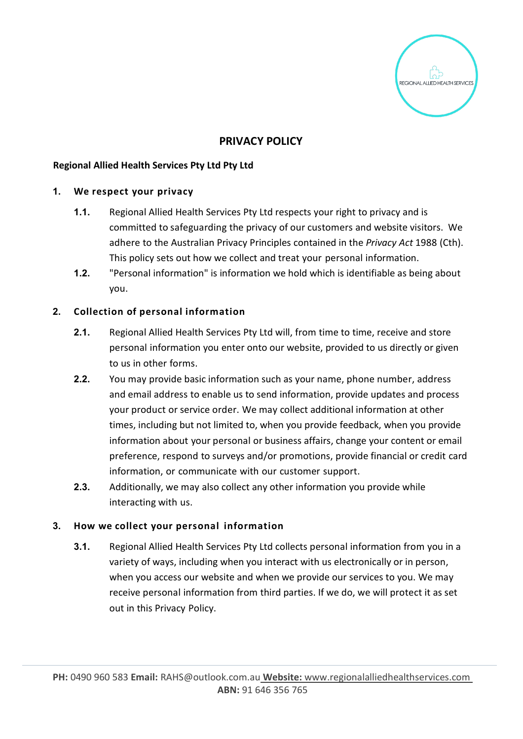

# **PRIVACY POLICY**

## **Regional Allied Health Services Pty Ltd Pty Ltd**

#### **1. We respect your privacy**

- **1.1.** Regional Allied Health Services Pty Ltd respects your right to privacy and is committed to safeguarding the privacy of our customers and website visitors. We adhere to the Australian Privacy Principles contained in the *Privacy Act* 1988 (Cth). This policy sets out how we collect and treat your personal information.
- **1.2.** "Personal information" is information we hold which is identifiable as being about you.

## **2. Collection of personal information**

- **2.1.** Regional Allied Health Services Pty Ltd will, from time to time, receive and store personal information you enter onto our website, provided to us directly or given to us in other forms.
- **2.2.** You may provide basic information such as your name, phone number, address and email address to enable us to send information, provide updates and process your product or service order. We may collect additional information at other times, including but not limited to, when you provide feedback, when you provide information about your personal or business affairs, change your content or email preference, respond to surveys and/or promotions, provide financial or credit card information, or communicate with our customer support.
- **2.3.** Additionally, we may also collect any other information you provide while interacting with us.

## **3. How we collect your personal information**

**3.1.** Regional Allied Health Services Pty Ltd collects personal information from you in a variety of ways, including when you interact with us electronically or in person, when you access our website and when we provide our services to you. We may receive personal information from third parties. If we do, we will protect it as set out in this Privacy Policy.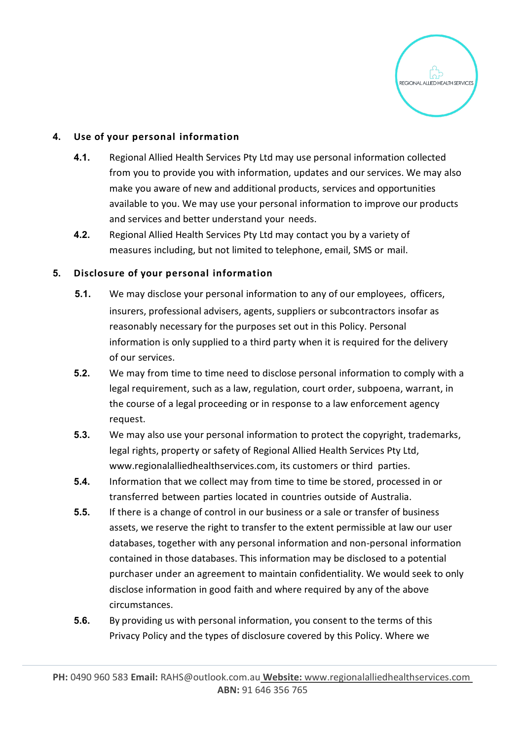

## **4. Use of your personal information**

- **4.1.** Regional Allied Health Services Pty Ltd may use personal information collected from you to provide you with information, updates and our services. We may also make you aware of new and additional products, services and opportunities available to you. We may use your personal information to improve our products and services and better understand your needs.
- **4.2.** Regional Allied Health Services Pty Ltd may contact you by a variety of measures including, but not limited to telephone, email, SMS or mail.

## **5. Disclosure of your personal information**

- **5.1.** We may disclose your personal information to any of our employees, officers, insurers, professional advisers, agents, suppliers or subcontractors insofar as reasonably necessary for the purposes set out in this Policy. Personal information is only supplied to a third party when it is required for the delivery of our services.
- **5.2.** We may from time to time need to disclose personal information to comply with a legal requirement, such as a law, regulation, court order, subpoena, warrant, in the course of a legal proceeding or in response to a law enforcement agency request.
- **5.3.** We may also use your personal information to protect the copyright, trademarks, legal rights, property or safety of Regional Allied Health Services Pty Ltd[,](http://www.regionalalliedhealthservices.com/) [www.regionalalliedhealthservices.com, i](http://www.regionalalliedhealthservices.com/)ts customers or third parties.
- **5.4.** Information that we collect may from time to time be stored, processed in or transferred between parties located in countries outside of Australia.
- **5.5.** If there is a change of control in our business or a sale or transfer of business assets, we reserve the right to transfer to the extent permissible at law our user databases, together with any personal information and non-personal information contained in those databases. This information may be disclosed to a potential purchaser under an agreement to maintain confidentiality. We would seek to only disclose information in good faith and where required by any of the above circumstances.
- **5.6.** By providing us with personal information, you consent to the terms of this Privacy Policy and the types of disclosure covered by this Policy. Where we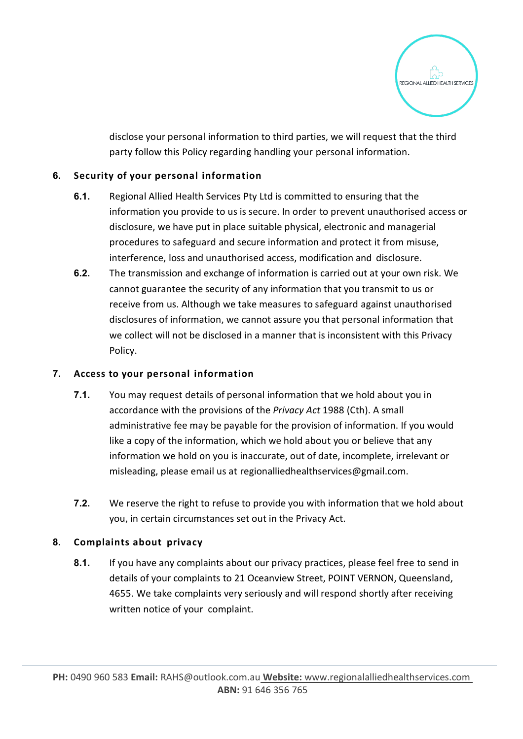

disclose your personal information to third parties, we will request that the third party follow this Policy regarding handling your personal information.

# **6. Security of your personal information**

- **6.1.** Regional Allied Health Services Pty Ltd is committed to ensuring that the information you provide to us is secure. In order to prevent unauthorised access or disclosure, we have put in place suitable physical, electronic and managerial procedures to safeguard and secure information and protect it from misuse, interference, loss and unauthorised access, modification and disclosure.
- **6.2.** The transmission and exchange of information is carried out at your own risk. We cannot guarantee the security of any information that you transmit to us or receive from us. Although we take measures to safeguard against unauthorised disclosures of information, we cannot assure you that personal information that we collect will not be disclosed in a manner that is inconsistent with this Privacy Policy.

## **7. Access to your personal information**

- **7.1.** You may request details of personal information that we hold about you in accordance with the provisions of the *Privacy Act* 1988 (Cth). A small administrative fee may be payable for the provision of information. If you would like a copy of the information, which we hold about you or believe that any information we hold on you is inaccurate, out of date, incomplete, irrelevant or misleading, please email us at [regionalliedhealthservices@gmail.com.](mailto:regionalliedhealthservices@gmail.com)
- **7.2.** We reserve the right to refuse to provide you with information that we hold about you, in certain circumstances set out in the Privacy Act.

## **8. Complaints about privacy**

**8.1.** If you have any complaints about our privacy practices, please feel free to send in details of your complaints to 21 Oceanview Street, POINT VERNON, Queensland, 4655. We take complaints very seriously and will respond shortly after receiving written notice of your complaint.